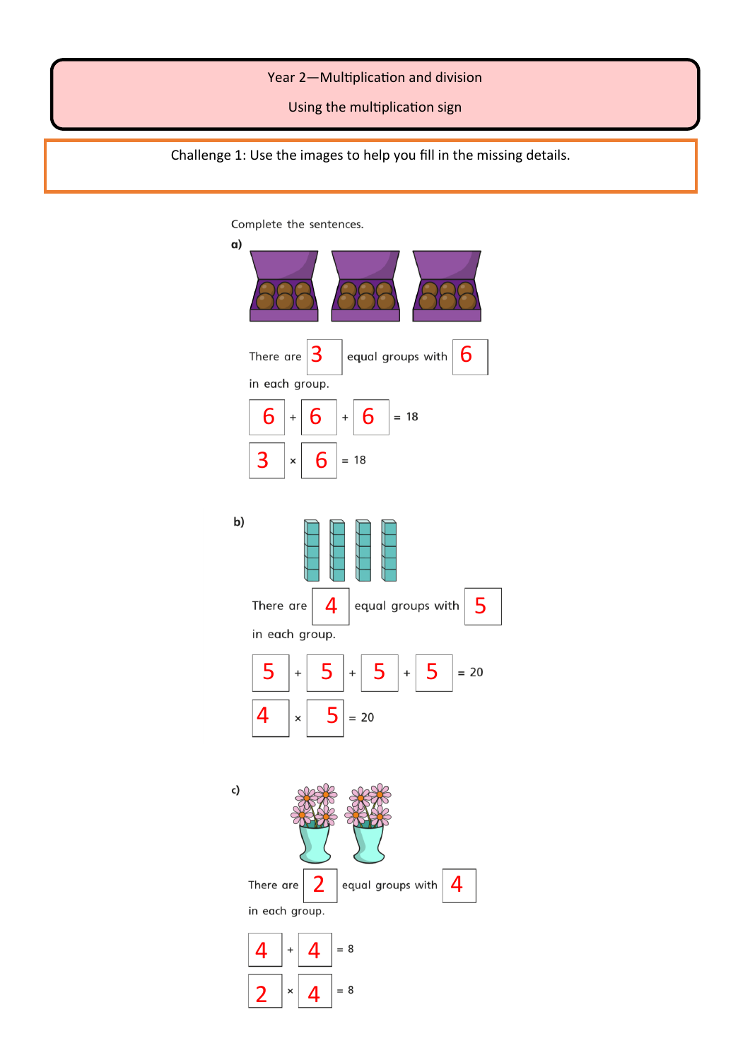#### Year 2—Multiplication and division

Using the multiplication sign

Challenge 1: Use the images to help you fill in the missing details.

Complete the sentences.

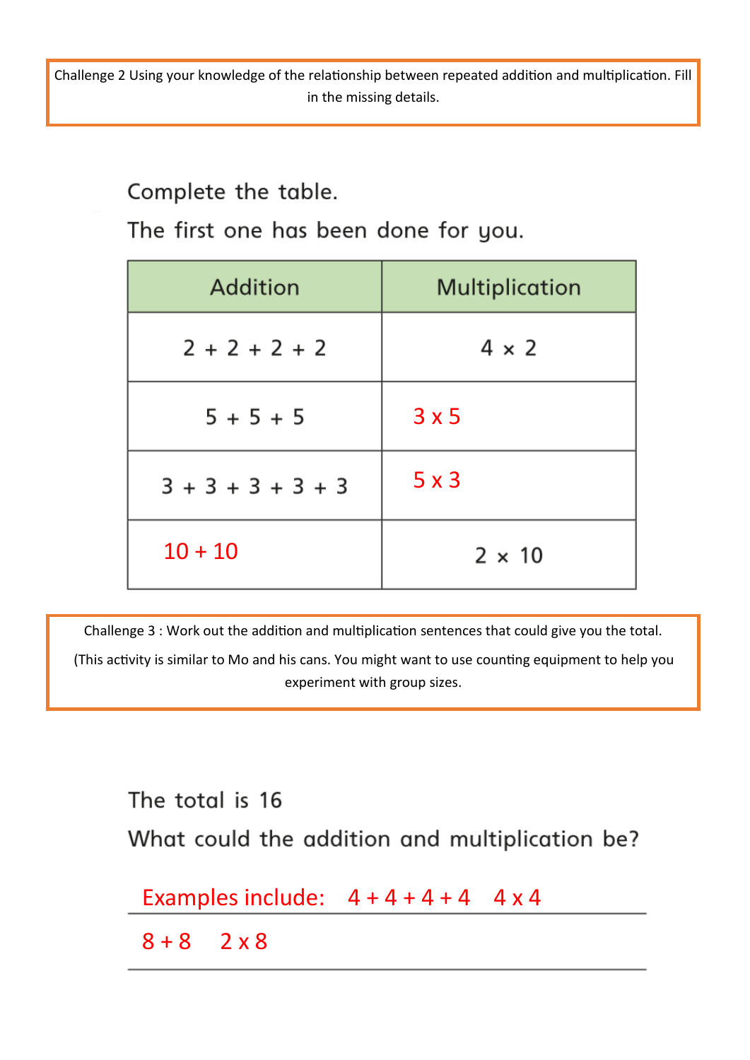Challenge 2 Using your knowledge of the relationship between repeated addition and multiplication. Fill in the missing details.

## Complete the table.

The first one has been done for you.

| <b>Addition</b>     | <b>Multiplication</b> |
|---------------------|-----------------------|
| $2 + 2 + 2 + 2$     | $4 \times 2$          |
| $5 + 5 + 5$         | 3x5                   |
| $3 + 3 + 3 + 3 + 3$ | 5x3                   |
| $10 + 10$           | $2 \times 10$         |

Challenge 3 : Work out the addition and multiplication sentences that could give you the total.

(This activity is similar to Mo and his cans. You might want to use counting equipment to help you experiment with group sizes.

The total is 16 What could the addition and multiplication be? Examples include:  $4 + 4 + 4 + 4$  4 x 4  $8 + 8$  2 x 8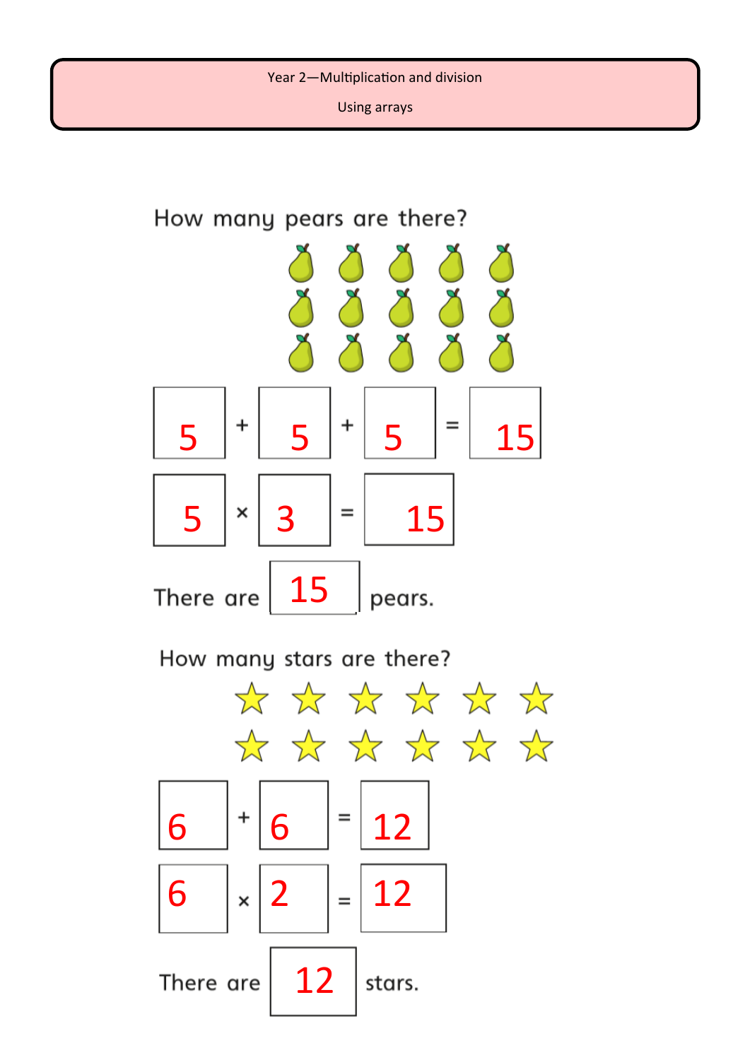Using arrays

# How many pears are there?  $x(x)$  $\begin{array}{|c|c|c|c|c|c|}\hline \textbf{5} & ^{\ast} & \textbf{5} & ^{\ast} & \textbf{15} \ \hline \end{array}$  $5$   $|$   $\times$   $|$  3  $|$  =  $|$  15 15 There are pears. How many stars are there? \* \* \* \* \* \* \* \* \* \* \* \* \* 6  $|$   $\frac{1}{6}$   $|$   $\frac{1}{2}$ 6  $|x|2| = 12$ 12 There are stars.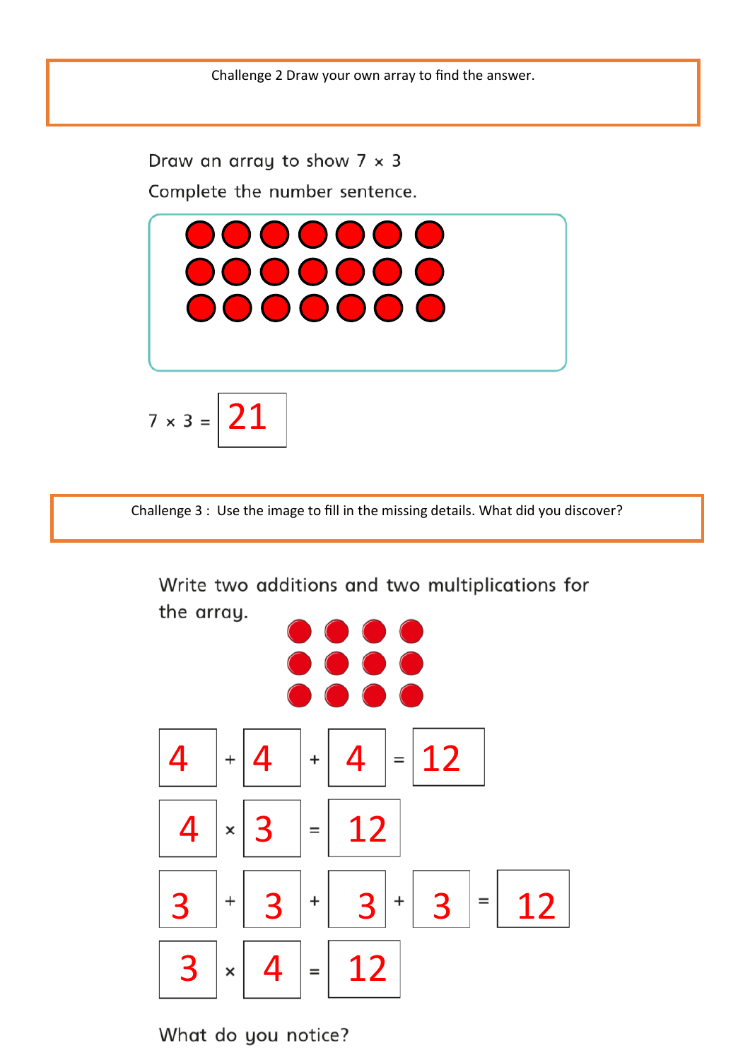Draw an array to show  $7 \times 3$ Complete the number sentence.



Challenge 3 : Use the image to fill in the missing details. What did you discover?

Write two additions and two multiplications for the array.



What do you notice?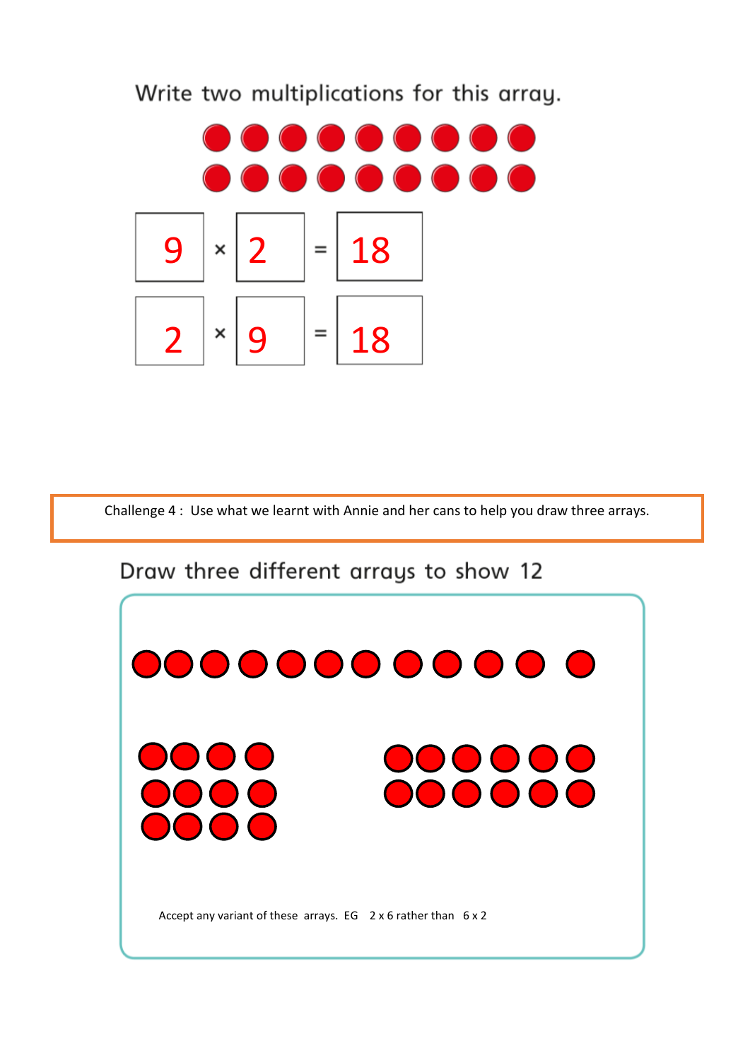Write two multiplications for this array.



Challenge 4 : Use what we learnt with Annie and her cans to help you draw three arrays.

## Draw three different arrays to show 12

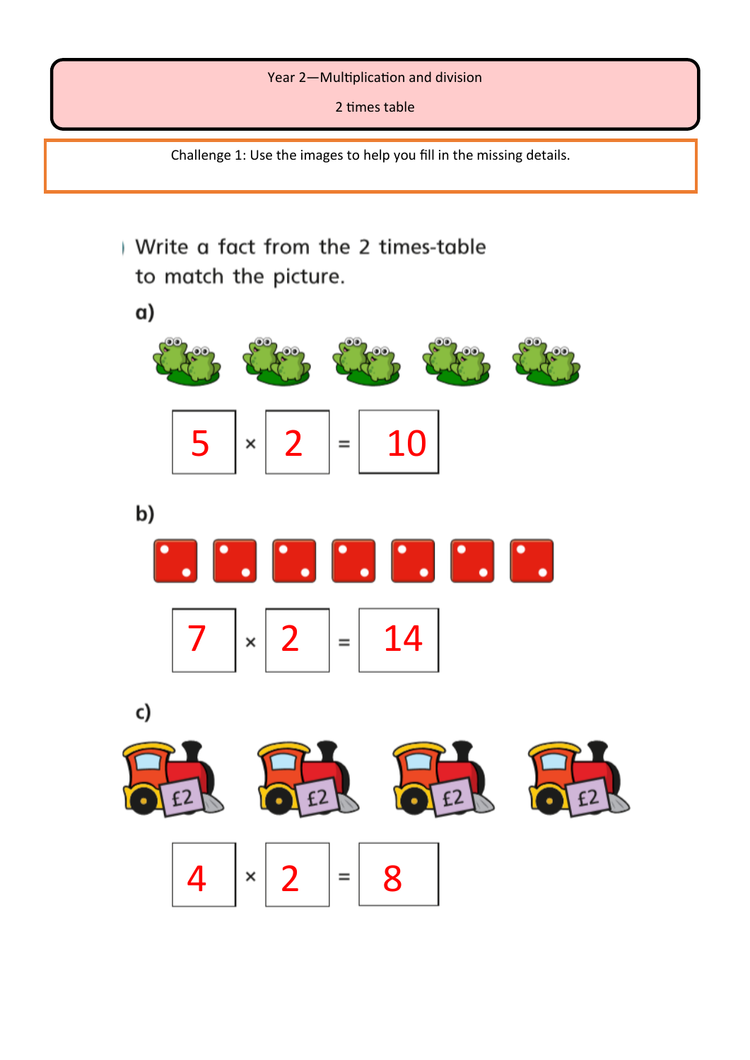### Year 2—Multiplication and division

2 times table

Challenge 1: Use the images to help you fill in the missing details.



 $4 | \times | 2 | = | 8$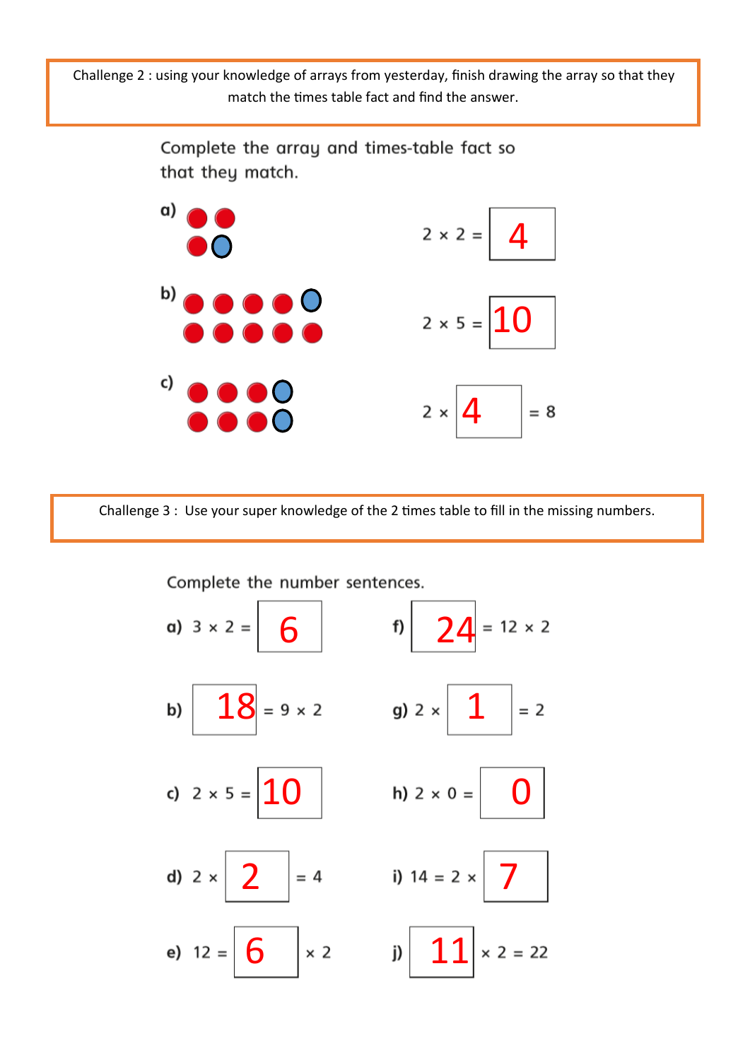Challenge 2 : using your knowledge of arrays from yesterday, finish drawing the array so that they match the times table fact and find the answer.



Challenge 3 : Use your super knowledge of the 2 times table to fill in the missing numbers.

a)  $3 \times 2 = \begin{vmatrix} 6 \end{vmatrix}$  f)  $24 = 12 \times 2$ b)  $18 = 9 \times 2$  g)  $2 \times 1$  $= 2$ c)  $2 \times 5 = |10|$  h)  $2 \times 0 =$ **2**  $= 4$  **i)**  $14 = 2 \times$ d)  $2 \times$ e)  $12 = |6| \times 2$   $|11|$  $x 2 = 22$ 

Complete the number sentences.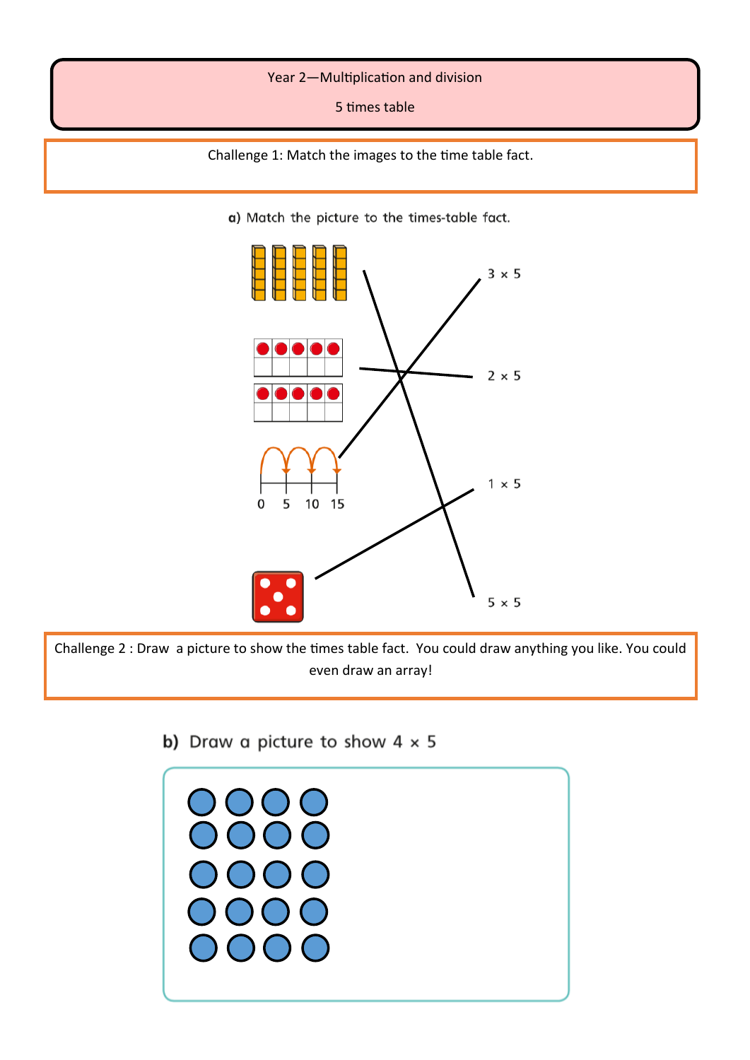#### Year 2—Multiplication and division

5 times table

Challenge 1: Match the images to the time table fact.

a) Match the picture to the times-table fact.



Challenge 2 : Draw a picture to show the times table fact. You could draw anything you like. You could even draw an array!

b) Draw a picture to show  $4 \times 5$